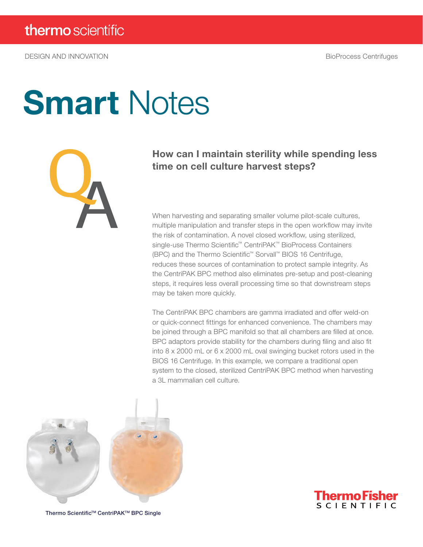DESIGN AND INNOVATION BioProcess Centrifuges

# **Smart Notes**



### How can I maintain sterility while spending less time on cell culture harvest steps?

When harvesting and separating smaller volume pilot-scale cultures, multiple manipulation and transfer steps in the open workflow may invite the risk of contamination. A novel closed workflow, using sterilized, single-use Thermo Scientific™ CentriPAK™ BioProcess Containers (BPC) and the Thermo Scientific™ Sorvall™ BIOS 16 Centrifuge, reduces these sources of contamination to protect sample integrity. As the CentriPAK BPC method also eliminates pre-setup and post-cleaning steps, it requires less overall processing time so that downstream steps may be taken more quickly.

The CentriPAK BPC chambers are gamma irradiated and offer weld-on or quick-connect fittings for enhanced convenience. The chambers may be joined through a BPC manifold so that all chambers are filled at once. BPC adaptors provide stability for the chambers during filing and also fit into 8 x 2000 mL or 6 x 2000 mL oval swinging bucket rotors used in the BIOS 16 Centrifuge. In this example, we compare a traditional open system to the closed, sterilized CentriPAK BPC method when harvesting a 3L mammalian cell culture.





Thermo Scientific™ CentriPAK<sup>™</sup> BPC Single